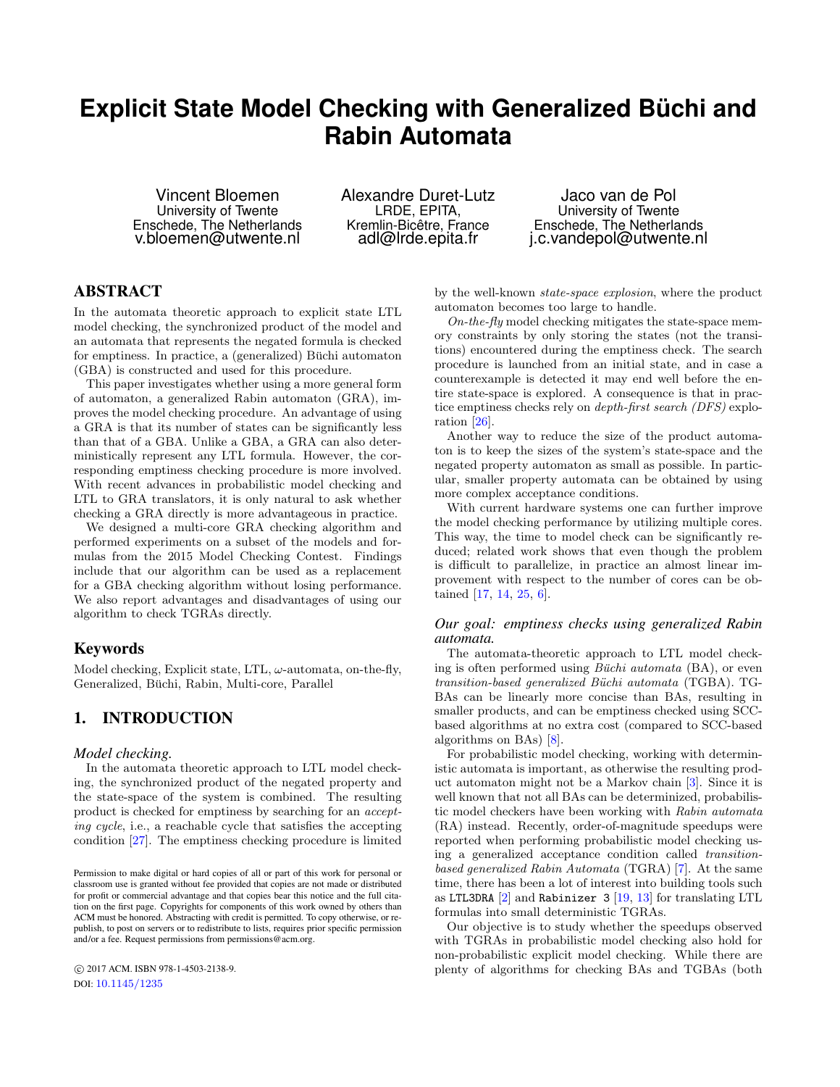# **Explicit State Model Checking with Generalized Büchi and Rabin Automata**

Vincent Bloemen University of Twente Enschede, The Netherlands v.bloemen@utwente.nl

Alexandre Duret-Lutz LRDE, EPITA, Kremlin-Bicêtre, France adl@lrde.epita.fr

Jaco van de Pol University of Twente Enschede, The Netherlands j.c.vandepol@utwente.nl

# ABSTRACT

In the automata theoretic approach to explicit state LTL model checking, the synchronized product of the model and an automata that represents the negated formula is checked for emptiness. In practice, a (generalized) Büchi automaton (GBA) is constructed and used for this procedure.

This paper investigates whether using a more general form of automaton, a generalized Rabin automaton (GRA), improves the model checking procedure. An advantage of using a GRA is that its number of states can be significantly less than that of a GBA. Unlike a GBA, a GRA can also deterministically represent any LTL formula. However, the corresponding emptiness checking procedure is more involved. With recent advances in probabilistic model checking and LTL to GRA translators, it is only natural to ask whether checking a GRA directly is more advantageous in practice.

We designed a multi-core GRA checking algorithm and performed experiments on a subset of the models and formulas from the 2015 Model Checking Contest. Findings include that our algorithm can be used as a replacement for a GBA checking algorithm without losing performance. We also report advantages and disadvantages of using our algorithm to check TGRAs directly.

# Keywords

Model checking, Explicit state, LTL,  $\omega$ -automata, on-the-fly, Generalized, Büchi, Rabin, Multi-core, Parallel

# <span id="page-0-0"></span>1. INTRODUCTION

## *Model checking.*

In the automata theoretic approach to LTL model checking, the synchronized product of the negated property and the state-space of the system is combined. The resulting product is checked for emptiness by searching for an accepting cycle, i.e., a reachable cycle that satisfies the accepting condition [\[27\]](#page-9-0). The emptiness checking procedure is limited

 c 2017 ACM. ISBN 978-1-4503-2138-9. DOI: <10.1145/1235>

by the well-known state-space explosion, where the product automaton becomes too large to handle.

 $On-the-fly$  model checking mitigates the state-space memory constraints by only storing the states (not the transitions) encountered during the emptiness check. The search procedure is launched from an initial state, and in case a counterexample is detected it may end well before the entire state-space is explored. A consequence is that in practice emptiness checks rely on depth-first search (DFS) exploration [\[26\]](#page-9-1).

Another way to reduce the size of the product automaton is to keep the sizes of the system's state-space and the negated property automaton as small as possible. In particular, smaller property automata can be obtained by using more complex acceptance conditions.

With current hardware systems one can further improve the model checking performance by utilizing multiple cores. This way, the time to model check can be significantly reduced; related work shows that even though the problem is difficult to parallelize, in practice an almost linear improvement with respect to the number of cores can be obtained [\[17,](#page-9-2) [14,](#page-9-3) [25,](#page-9-4) [6\]](#page-9-5).

## *Our goal: emptiness checks using generalized Rabin automata.*

The automata-theoretic approach to LTL model checking is often performed using *Büchi automata*  $(BA)$ , or even transition-based generalized Büchi automata (TGBA). TG-BAs can be linearly more concise than BAs, resulting in smaller products, and can be emptiness checked using SCCbased algorithms at no extra cost (compared to SCC-based algorithms on BAs) [\[8\]](#page-9-6).

For probabilistic model checking, working with deterministic automata is important, as otherwise the resulting product automaton might not be a Markov chain [\[3\]](#page-9-7). Since it is well known that not all BAs can be determinized, probabilistic model checkers have been working with Rabin automata (RA) instead. Recently, order-of-magnitude speedups were reported when performing probabilistic model checking using a generalized acceptance condition called transitionbased generalized Rabin Automata (TGRA) [\[7\]](#page-9-8). At the same time, there has been a lot of interest into building tools such as LTL3DRA  $[2]$  and Rabinizer 3  $[19, 13]$  $[19, 13]$  $[19, 13]$  for translating LTL formulas into small deterministic TGRAs.

Our objective is to study whether the speedups observed with TGRAs in probabilistic model checking also hold for non-probabilistic explicit model checking. While there are plenty of algorithms for checking BAs and TGBAs (both

Permission to make digital or hard copies of all or part of this work for personal or classroom use is granted without fee provided that copies are not made or distributed for profit or commercial advantage and that copies bear this notice and the full citation on the first page. Copyrights for components of this work owned by others than ACM must be honored. Abstracting with credit is permitted. To copy otherwise, or republish, to post on servers or to redistribute to lists, requires prior specific permission and/or a fee. Request permissions from permissions@acm.org.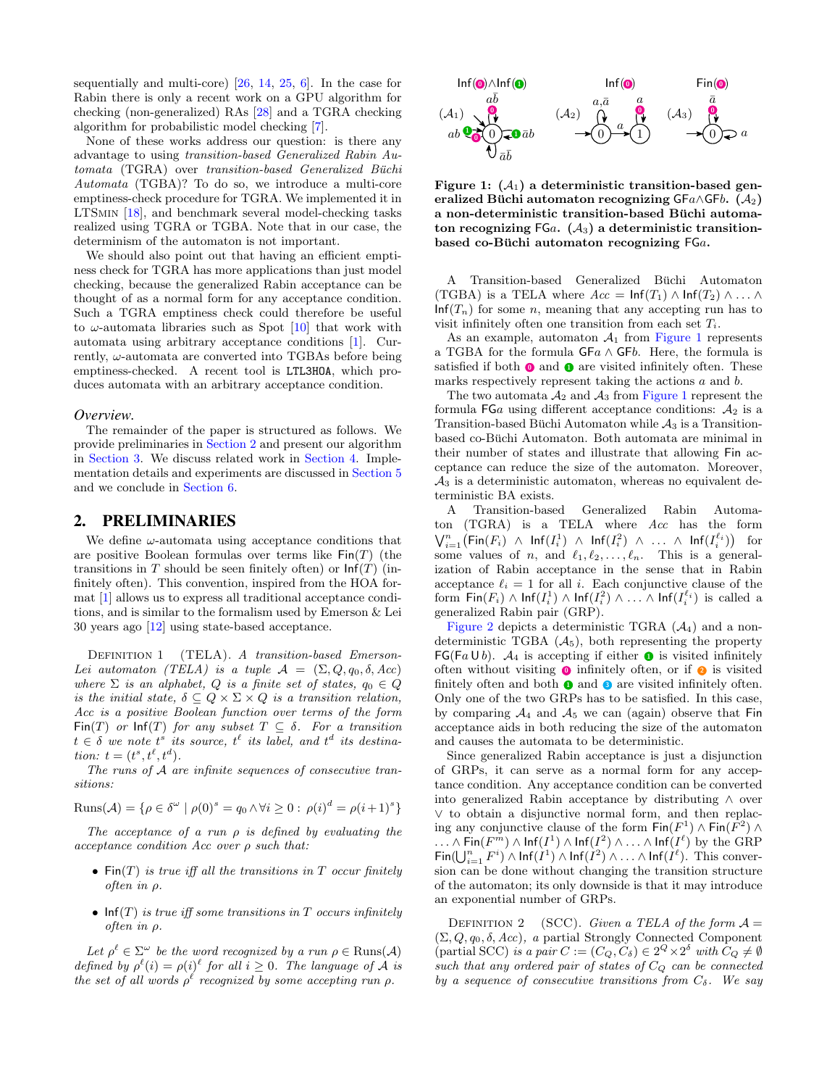sequentially and multi-core) [\[26,](#page-9-1) [14,](#page-9-3) [25,](#page-9-4) [6\]](#page-9-5). In the case for Rabin there is only a recent work on a GPU algorithm for checking (non-generalized) RAs [\[28\]](#page-9-11) and a TGRA checking algorithm for probabilistic model checking [\[7\]](#page-9-8).

None of these works address our question: is there any advantage to using transition-based Generalized Rabin Automata (TGRA) over transition-based Generalized Büchi Automata (TGBA)? To do so, we introduce a multi-core emptiness-check procedure for TGRA. We implemented it in LTSmin [\[18\]](#page-9-12), and benchmark several model-checking tasks realized using TGRA or TGBA. Note that in our case, the determinism of the automaton is not important.

We should also point out that having an efficient emptiness check for TGRA has more applications than just model checking, because the generalized Rabin acceptance can be thought of as a normal form for any acceptance condition. Such a TGRA emptiness check could therefore be useful to  $\omega$ -automata libraries such as Spot  $[10]$  that work with automata using arbitrary acceptance conditions [\[1\]](#page-8-1). Currently,  $\omega$ -automata are converted into TGBAs before being emptiness-checked. A recent tool is LTL3HOA, which produces automata with an arbitrary acceptance condition.

#### *Overview.*

The remainder of the paper is structured as follows. We provide preliminaries in [Section 2](#page-1-0) and present our algorithm in [Section 3.](#page-2-0) We discuss related work in [Section 4.](#page-5-0) Implementation details and experiments are discussed in [Section 5](#page-5-1) and we conclude in [Section 6.](#page-8-2)

# <span id="page-1-0"></span>2. PRELIMINARIES

We define  $\omega$ -automata using acceptance conditions that are positive Boolean formulas over terms like  $\textsf{Fin}(T)$  (the transitions in T should be seen finitely often) or  $\text{Inf}(T)$  (infinitely often). This convention, inspired from the HOA format [\[1\]](#page-8-1) allows us to express all traditional acceptance conditions, and is similar to the formalism used by Emerson & Lei 30 years ago [\[12\]](#page-9-14) using state-based acceptance.

DEFINITION 1 (TELA). A transition-based Emerson-Lei automaton (TELA) is a tuple  $\mathcal{A} = (\Sigma, Q, q_0, \delta, Acc)$ where  $\Sigma$  is an alphabet,  $Q$  is a finite set of states,  $q_0 \in Q$ is the initial state,  $\delta \subseteq Q \times \Sigma \times Q$  is a transition relation, Acc is a positive Boolean function over terms of the form Fin(T) or  $\text{Inf}(T)$  for any subset  $T \subseteq \delta$ . For a transition  $t \in \delta$  we note  $t^s$  its source,  $t^{\ell}$  its label, and  $t^d$  its destination:  $t = (t^s, t^{\ell}, t^d)$ .

The runs of A are infinite sequences of consecutive transitions:

$$
\text{Runs}(\mathcal{A}) = \{ \rho \in \delta^{\omega} \mid \rho(0)^s = q_0 \land \forall i \geq 0 : \rho(i)^d = \rho(i+1)^s \}
$$

The acceptance of a run  $\rho$  is defined by evaluating the  $acceptance condition Acc over  $\rho$  such that:$ 

- $\mathsf{Fin}(T)$  is true iff all the transitions in T occur finitely often in ρ.
- $\textsf{Inf}(T)$  is true iff some transitions in T occurs infinitely often in ρ.

Let  $\rho^{\ell} \in \Sigma^{\omega}$  be the word recognized by a run  $\rho \in \text{Runs}(\mathcal{A})$ defined by  $\rho^{\ell}(i) = \rho(i)^{\ell}$  for all  $i \geq 0$ . The language of A is the set of all words  $\rho^{\ell}$  recognized by some accepting run  $\rho$ .



<span id="page-1-1"></span>Figure 1:  $(A_1)$  a deterministic transition-based generalized Büchi automaton recognizing  $\mathsf{GF}a \wedge \mathsf{GF}b$ .  $(\mathcal{A}_2)$ a non-deterministic transition-based Büchi automaton recognizing FGa.  $(A_3)$  a deterministic transitionbased co-Büchi automaton recognizing  $FGa$ .

A Transition-based Generalized Büchi Automaton (TGBA) is a TELA where  $Acc = \text{Inf}(T_1) \wedge \text{Inf}(T_2) \wedge \ldots \wedge$  $\text{Inf}(T_n)$  for some n, meaning that any accepting run has to visit infinitely often one transition from each set  $T_i$ .

As an example, automaton  $A_1$  from [Figure 1](#page-1-1) represents a TGBA for the formula  $GFa \wedge GFb$ . Here, the formula is satisfied if both  $\bullet$  and  $\bullet$  are visited infinitely often. These marks respectively represent taking the actions a and b.

The two automata  $A_2$  and  $A_3$  from [Figure 1](#page-1-1) represent the formula  $FGa$  using different acceptance conditions:  $A_2$  is a Transition-based Büchi Automaton while  $A_3$  is a Transitionbased co-Büchi Automaton. Both automata are minimal in their number of states and illustrate that allowing Fin acceptance can reduce the size of the automaton. Moreover,  $A_3$  is a deterministic automaton, whereas no equivalent deterministic BA exists.

A Transition-based Generalized Rabin Automaton (TGRA) is a TELA where Acc has the form  $\bigvee_{i=1}^{n} \big(\mathsf{Fin}(F_i) \ \wedge \ \mathsf{Inf}(I_i^1) \ \wedge \ \mathsf{Inf}(I_i^2) \ \wedge \ \ldots \ \wedge \ \mathsf{Inf}(I_i^{\ell_i})\big) \ \ \text{ for }$ some values of n, and  $\ell_1, \ell_2, \ldots, \ell_n$ . This is a generalization of Rabin acceptance in the sense that in Rabin acceptance  $\ell_i = 1$  for all i. Each conjunctive clause of the form  $\mathsf{Fin}(F_i) \wedge \mathsf{Inf}(I_i^1) \wedge \mathsf{Inf}(I_i^2) \wedge \ldots \wedge \mathsf{Inf}(I_i^{\ell_i})$  is called a generalized Rabin pair (GRP).

[Figure 2](#page-2-1) depicts a deterministic TGRA  $(A_4)$  and a nondeterministic TGBA  $(A_5)$ , both representing the property  $FG(Fa \cup b)$ .  $\mathcal{A}_4$  is accepting if either **0** is visited infinitely often without visiting  $\bullet$  infinitely often, or if  $\bullet$  is visited finitely often and both  $\bullet$  and  $\bullet$  are visited infinitely often. Only one of the two GRPs has to be satisfied. In this case, by comparing  $A_4$  and  $A_5$  we can (again) observe that Fin acceptance aids in both reducing the size of the automaton and causes the automata to be deterministic.

Since generalized Rabin acceptance is just a disjunction of GRPs, it can serve as a normal form for any acceptance condition. Any acceptance condition can be converted into generalized Rabin acceptance by distributing ∧ over ∨ to obtain a disjunctive normal form, and then replacing any conjunctive clause of the form  $\textsf{Fin}(F^1) \wedge \textsf{Fin}(F^2) \wedge$  $\ldots \wedge \mathsf{Fin}(F^{m}) \wedge \mathsf{Inf}(I^1) \wedge \mathsf{Inf}(I^2) \wedge \ldots \wedge \mathsf{Inf}(I^{\ell}) \,\, \text{by the GRP}$  $\textsf{Fin}(\bigcup_{i=1}^n F^i) \wedge \textsf{Inf}(I^1) \wedge \textsf{Inf}(I^2) \wedge \ldots \wedge \textsf{Inf}(I^{\ell}).$  This conversion can be done without changing the transition structure of the automaton; its only downside is that it may introduce an exponential number of GRPs.

DEFINITION 2 (SCC). Given a TELA of the form  $A =$  $(\Sigma, Q, q_0, \delta, Acc),$  a partial Strongly Connected Component (partial SCC) is a pair  $C := (C_Q, C_\delta) \in 2^Q \times 2^\delta$  with  $C_Q \neq \emptyset$ such that any ordered pair of states of  $C_Q$  can be connected by a sequence of consecutive transitions from  $C_{\delta}$ . We say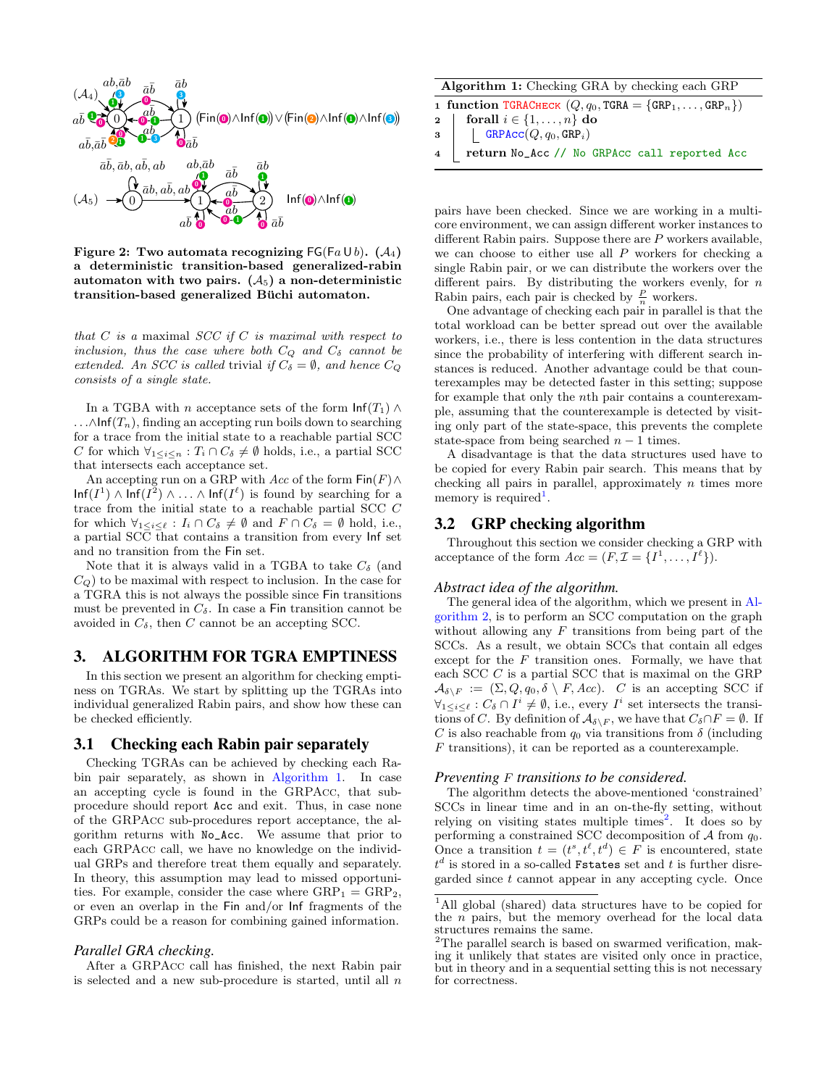

<span id="page-2-1"></span>Figure 2: Two automata recognizing  $FG(Fa \cup b)$ . (A<sub>4</sub>) a deterministic transition-based generalized-rabin automaton with two pairs.  $(A_5)$  a non-deterministic transition-based generalized Büchi automaton.

that  $C$  is a maximal  $SCC$  if  $C$  is maximal with respect to inclusion, thus the case where both  $C_Q$  and  $C_\delta$  cannot be extended. An SCC is called trivial if  $C_{\delta} = \emptyset$ , and hence  $C_{\Omega}$ consists of a single state.

In a TGBA with *n* acceptance sets of the form  $\text{Inf}(T_1) \wedge$ ...∧Inf( $T_n$ ), finding an accepting run boils down to searching for a trace from the initial state to a reachable partial SCC C for which  $\forall_{1 \leq i \leq n} : T_i \cap C_\delta \neq \emptyset$  holds, i.e., a partial SCC that intersects each acceptance set.

An accepting run on a GRP with Acc of the form  $\textsf{Fin}(F) \wedge$  $\text{Inf}(I^1) \wedge \text{Inf}(I^2) \wedge \ldots \wedge \text{Inf}(I^{\ell})$  is found by searching for a trace from the initial state to a reachable partial SCC C for which  $\forall_{1 \leq i \leq \ell} : I_i \cap C_\delta \neq \emptyset$  and  $F \cap C_\delta = \emptyset$  hold, i.e., a partial SCC that contains a transition from every Inf set and no transition from the Fin set.

Note that it is always valid in a TGBA to take  $C_{\delta}$  (and  $C_Q$ ) to be maximal with respect to inclusion. In the case for a TGRA this is not always the possible since Fin transitions must be prevented in  $C_{\delta}$ . In case a Fin transition cannot be avoided in  $C_{\delta}$ , then C cannot be an accepting SCC.

# <span id="page-2-0"></span>3. ALGORITHM FOR TGRA EMPTINESS

In this section we present an algorithm for checking emptiness on TGRAs. We start by splitting up the TGRAs into individual generalized Rabin pairs, and show how these can be checked efficiently.

## <span id="page-2-5"></span>3.1 Checking each Rabin pair separately

Checking TGRAs can be achieved by checking each Rabin pair separately, as shown in [Algorithm 1.](#page-2-2) In case an accepting cycle is found in the GRPAcc, that subprocedure should report Acc and exit. Thus, in case none of the GRPAcc sub-procedures report acceptance, the algorithm returns with No\_Acc. We assume that prior to each GRPAcc call, we have no knowledge on the individual GRPs and therefore treat them equally and separately. In theory, this assumption may lead to missed opportunities. For example, consider the case where  $\text{GRP}_1 = \text{GRP}_2$ , or even an overlap in the Fin and/or Inf fragments of the GRPs could be a reason for combining gained information.

#### *Parallel GRA checking.*

After a GRPAcc call has finished, the next Rabin pair is selected and a new sub-procedure is started, until all  $n$ 

| <b>Algorithm 1:</b> Checking GRA by checking each GRP                         |  |
|-------------------------------------------------------------------------------|--|
| 1 function TGRACHECK $(Q, q_0, \text{TGRA} = {\text{GRP}_1, , \text{GRP}_n})$ |  |

<span id="page-2-2"></span>2 | forall  $i \in \{1, \ldots, n\}$  do

```
\mathsf{3} GRPAcc(Q, q_0, \text{GRP}_i)
```

```
4 return No_Acc // No GRPAcc call reported Acc
```
pairs have been checked. Since we are working in a multicore environment, we can assign different worker instances to different Rabin pairs. Suppose there are  $P$  workers available, we can choose to either use all  $P$  workers for checking a single Rabin pair, or we can distribute the workers over the different pairs. By distributing the workers evenly, for  $n$ Rabin pairs, each pair is checked by  $\frac{P}{n}$  workers.

One advantage of checking each pair in parallel is that the total workload can be better spread out over the available workers, i.e., there is less contention in the data structures since the probability of interfering with different search instances is reduced. Another advantage could be that counterexamples may be detected faster in this setting; suppose for example that only the nth pair contains a counterexample, assuming that the counterexample is detected by visiting only part of the state-space, this prevents the complete state-space from being searched  $n - 1$  times.

A disadvantage is that the data structures used have to be copied for every Rabin pair search. This means that by checking all pairs in parallel, approximately  $n$  times more memory is required<sup>[1](#page-2-3)</sup>.

## 3.2 GRP checking algorithm

Throughout this section we consider checking a GRP with acceptance of the form  $Acc = (F, \mathcal{I} = \{I^1, \ldots, I^{\ell}\}).$ 

## *Abstract idea of the algorithm.*

The general idea of the algorithm, which we present in [Al](#page-3-0)[gorithm 2,](#page-3-0) is to perform an SCC computation on the graph without allowing any  $F$  transitions from being part of the SCCs. As a result, we obtain SCCs that contain all edges except for the  $F$  transition ones. Formally, we have that each SCC C is a partial SCC that is maximal on the GRP  $\mathcal{A}_{\delta\setminus F} := (\Sigma, Q, q_0, \delta \setminus F, Acc).$  C is an accepting SCC if  $\forall_{1\leq i\leq \ell}: C_{\delta}\cap I^{i}\neq\emptyset$ , i.e., every  $I^{i}$  set intersects the transitions of C. By definition of  $\mathcal{A}_{\delta\setminus F}$ , we have that  $C_{\delta}\cap F=\emptyset$ . If C is also reachable from  $q_0$  via transitions from  $\delta$  (including  $F$  transitions), it can be reported as a counterexample.

#### *Preventing* F *transitions to be considered.*

The algorithm detects the above-mentioned 'constrained' SCCs in linear time and in an on-the-fly setting, without relying on visiting states multiple times<sup>[2](#page-2-4)</sup>. It does so by performing a constrained SCC decomposition of  $A$  from  $q_0$ . Once a transition  $t = (t^s, t^{\ell}, t^d) \in F$  is encountered, state  $t^d$  is stored in a so-called Fstates set and  $t$  is further disregarded since t cannot appear in any accepting cycle. Once

<span id="page-2-3"></span><sup>1</sup>All global (shared) data structures have to be copied for the  $n$  pairs, but the memory overhead for the local data structures remains the same.

<span id="page-2-4"></span><sup>2</sup>The parallel search is based on swarmed verification, making it unlikely that states are visited only once in practice, but in theory and in a sequential setting this is not necessary for correctness.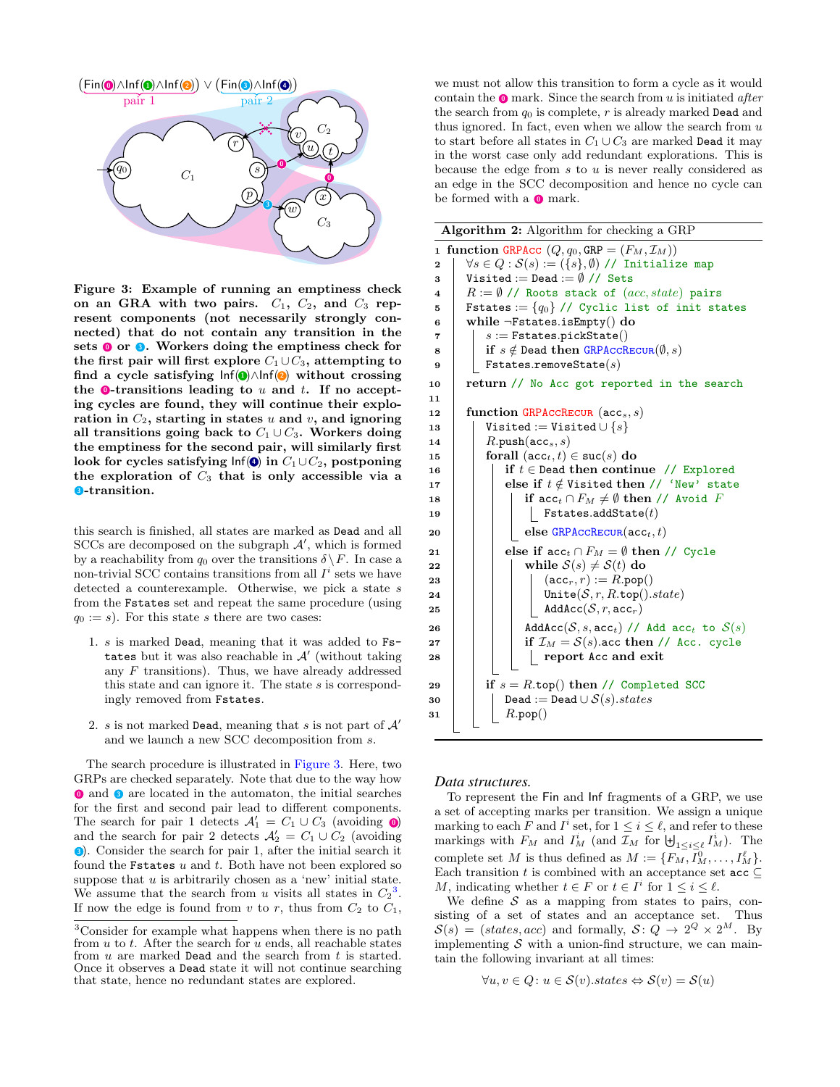

<span id="page-3-1"></span>Figure 3: Example of running an emptiness check on an GRA with two pairs.  $C_1$ ,  $C_2$ , and  $C_3$  represent components (not necessarily strongly connected) that do not contain any transition in the sets  $\bullet$  or  $\bullet$ . Workers doing the emptiness check for the first pair will first explore  $C_1 \cup C_3$ , attempting to find a cycle satisfying  $Inf(① \wedge Inf(②)$  without crossing the  $\bullet$ -transitions leading to  $u$  and  $t$ . If no accepting cycles are found, they will continue their exploration in  $C_2$ , starting in states u and v, and ignoring all transitions going back to  $C_1 \cup C_3$ . Workers doing the emptiness for the second pair, will similarly first look for cycles satisfying  $\text{Inf}(\textbf{0})$  in  $C_1 \cup C_2$ , postponing the exploration of  $C_3$  that is only accessible via a **3**-transition.

this search is finished, all states are marked as Dead and all  $SCCs$  are decomposed on the subgraph  $A'$ , which is formed by a reachability from  $q_0$  over the transitions  $\delta \backslash F$ . In case a non-trivial SCC contains transitions from all  $I^i$  sets we have detected a counterexample. Otherwise, we pick a state  $s$ from the Fstates set and repeat the same procedure (using  $q_0 := s$ . For this state s there are two cases:

- 1. s is marked Dead, meaning that it was added to Fstates but it was also reachable in  $\mathcal{A}'$  (without taking any  $F$  transitions). Thus, we have already addressed this state and can ignore it. The state s is correspondingly removed from Fstates.
- 2. s is not marked Dead, meaning that s is not part of  $A'$ and we launch a new SCC decomposition from s.

The search procedure is illustrated in [Figure 3.](#page-3-1) Here, two GRPs are checked separately. Note that due to the way how **O** and **3** are located in the automaton, the initial searches for the first and second pair lead to different components. The search for pair 1 detects  $\mathcal{A}'_1 = C_1 \cup C_3$  (avoiding 0) and the search for pair 2 detects  $\mathcal{A}'_2 = C_1 \cup C_2$  (avoiding **3**. Consider the search for pair 1, after the initial search it found the **Fstates**  $u$  and  $t$ . Both have not been explored so suppose that  $u$  is arbitrarily chosen as a 'new' initial state. We assume that the search from u visits all states in  $C_2^3$  $C_2^3$ . If now the edge is found from v to r, thus from  $C_2$  to  $C_1$ ,

we must not allow this transition to form a cycle as it would contain the  $\bullet$  mark. Since the search from u is initiated after the search from  $q_0$  is complete, r is already marked Dead and thus ignored. In fact, even when we allow the search from  $u$ to start before all states in  $C_1 \cup C_3$  are marked Dead it may in the worst case only add redundant explorations. This is because the edge from  $s$  to  $u$  is never really considered as an edge in the SCC decomposition and hence no cycle can be formed with a  $\bullet$  mark.

<span id="page-3-14"></span><span id="page-3-9"></span><span id="page-3-8"></span><span id="page-3-6"></span><span id="page-3-5"></span><span id="page-3-4"></span><span id="page-3-3"></span><span id="page-3-0"></span>

|                         | Algorithm 2: Algorithm for checking a GRP                                  |  |  |  |  |  |  |
|-------------------------|----------------------------------------------------------------------------|--|--|--|--|--|--|
| $\mathbf{1}$            | function GRPAcc $(Q, q_0,$ GRP = $(F_M, \mathcal{I}_M))$                   |  |  |  |  |  |  |
| $\mathbf 2$             | $\forall s \in Q : \mathcal{S}(s) := (\{s\}, \emptyset)$ // Initialize map |  |  |  |  |  |  |
| 3                       | Visited := Dead := $\emptyset$ // Sets                                     |  |  |  |  |  |  |
| $\overline{\mathbf{4}}$ | $R := \emptyset$ // Roots stack of $(ac, state)$ pairs                     |  |  |  |  |  |  |
| 5                       | Fstates := $\{q_0\}$ // Cyclic list of init states                         |  |  |  |  |  |  |
| 6                       | while $\neg \texttt{Fstates.isEmpty}()$ do                                 |  |  |  |  |  |  |
| 7                       | $s :=$ Fstates.pickState $()$                                              |  |  |  |  |  |  |
| 8                       | if $s \notin$ Dead then GRPACCRECUR $(\emptyset, s)$                       |  |  |  |  |  |  |
| 9                       | $F$ states.removeState $(s)$                                               |  |  |  |  |  |  |
| 10                      | return // No Acc got reported in the search                                |  |  |  |  |  |  |
| 11                      |                                                                            |  |  |  |  |  |  |
| 12                      | function GRPACCRECUR (acc <sub>s</sub> , s)                                |  |  |  |  |  |  |
| 13                      | Visited := Visited $\cup$ { $s$ }<br>$R.\texttt{push}(\texttt{acc}_s, s)$  |  |  |  |  |  |  |
| 14<br>15                | forall $(\mathsf{acc}_t, t) \in \mathsf{suc}(s)$ do                        |  |  |  |  |  |  |
| 16                      | if $t \in$ Dead then continue // Explored                                  |  |  |  |  |  |  |
| 17                      | else if $t \notin V$ isited then // 'New' state                            |  |  |  |  |  |  |
| 18                      | if $\mathtt{acc}_t \cap F_M \neq \emptyset$ then // Avoid F                |  |  |  |  |  |  |
| 19                      | $\texttt{Fstates.addState}(t)$                                             |  |  |  |  |  |  |
| 20                      | else GRPACCRECUR( $acc_t, t$ )                                             |  |  |  |  |  |  |
| 21                      | else if $\operatorname{acc}_t \cap F_M = \emptyset$ then // Cycle          |  |  |  |  |  |  |
| 22                      | while $S(s) \neq S(t)$ do                                                  |  |  |  |  |  |  |
| 23                      | $(\mathtt{acc}_r, r) := R.\mathtt{pop}()$                                  |  |  |  |  |  |  |
| 24                      | Unite $(S, r, R.\texttt{top}().state)$                                     |  |  |  |  |  |  |
| 25                      | $AddAcc(S, r, acc_r)$                                                      |  |  |  |  |  |  |
| 26                      | AddAcc(S, s, acc <sub>t</sub> ) // Add acc <sub>t</sub> to $S(s)$          |  |  |  |  |  |  |
| 27                      | if $\mathcal{I}_M = \mathcal{S}(s)$ acc then // Acc. cycle                 |  |  |  |  |  |  |
| 28                      | report Acc and exit                                                        |  |  |  |  |  |  |
| 29                      | if $s = R.\text{top}()$ then // Completed SCC                              |  |  |  |  |  |  |
| 30                      | Dead := Dead $\cup$ $S(s)$ .states                                         |  |  |  |  |  |  |
| 31                      | R.pop()                                                                    |  |  |  |  |  |  |
|                         |                                                                            |  |  |  |  |  |  |

#### <span id="page-3-13"></span><span id="page-3-12"></span><span id="page-3-11"></span><span id="page-3-10"></span><span id="page-3-7"></span>*Data structures.*

To represent the Fin and Inf fragments of a GRP, we use a set of accepting marks per transition. We assign a unique marking to each F and  $I^i$  set, for  $1 \leq i \leq \ell$ , and refer to these markings with  $F_M$  and  $I_M^i$  (and  $\mathcal{I}_M$  for  $\biguplus_{1 \leq i \leq \ell} I_M^i$ ). The complete set M is thus defined as  $M := \{F_M, I_M^0, \ldots, I_M^{\ell}\}.$ Each transition t is combined with an acceptance set  $\texttt{acc} \subseteq$ M, indicating whether  $t \in F$  or  $t \in I^i$  for  $1 \leq i \leq \ell$ .

We define  $S$  as a mapping from states to pairs, consisting of a set of states and an acceptance set. Thus  $S(s) = (states, acc)$  and formally,  $S: \overline{Q} \rightarrow 2^Q \times 2^M$ . By implementing  $S$  with a union-find structure, we can maintain the following invariant at all times:

$$
\forall u, v \in Q \colon u \in \mathcal{S}(v).states \Leftrightarrow \mathcal{S}(v) = \mathcal{S}(u)
$$

<span id="page-3-2"></span><sup>3</sup>Consider for example what happens when there is no path from  $u$  to  $t$ . After the search for  $u$  ends, all reachable states from  $u$  are marked Dead and the search from  $t$  is started. Once it observes a Dead state it will not continue searching that state, hence no redundant states are explored.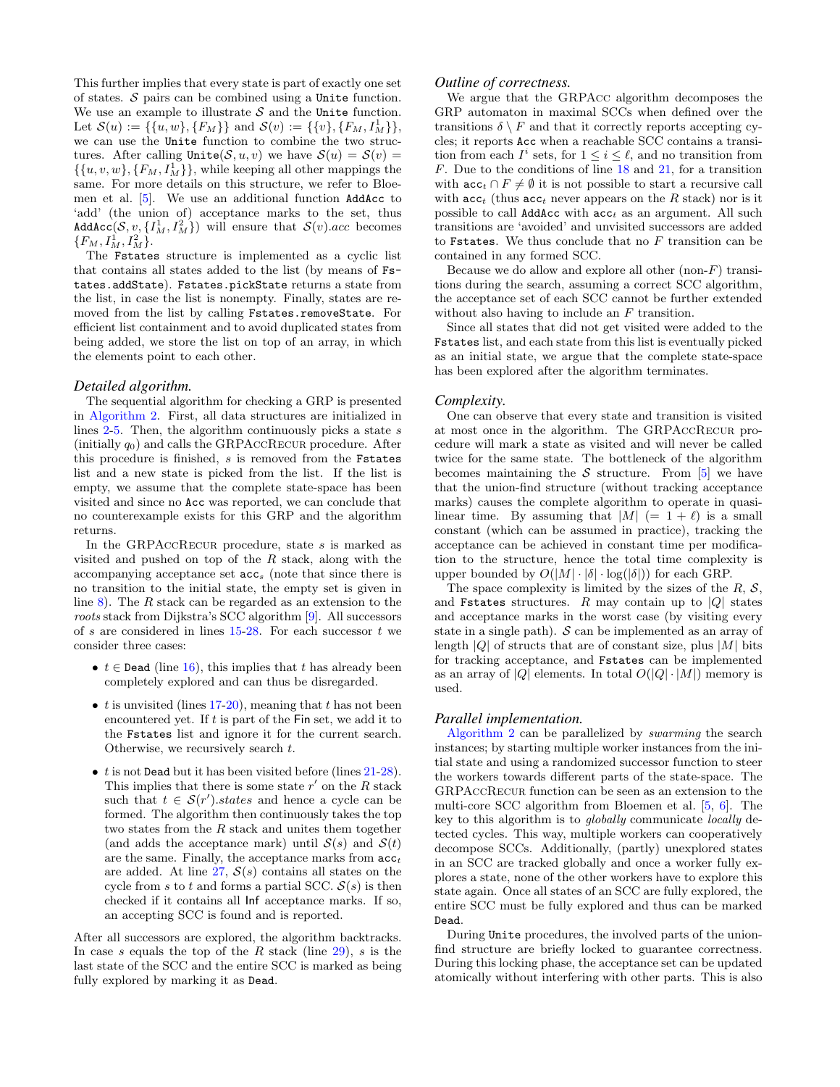This further implies that every state is part of exactly one set of states.  $S$  pairs can be combined using a Unite function. We use an example to illustrate  $S$  and the Unite function. Let  $\mathcal{S}(u) := \{\{u, w\}, \{F_M\}\}\$  and  $\mathcal{S}(v) := \{\{v\}, \{F_M, I_M^1\}\}\$ , we can use the Unite function to combine the two structures. After calling  $\text{Unite}(\mathcal{S}, u, v)$  we have  $\mathcal{S}(u) = \mathcal{S}(v)$  $\{\{u, v, w\}, \{F_M, I_M^{\perp}\}\}\$ , while keeping all other mappings the same. For more details on this structure, we refer to Bloemen et al. [\[5\]](#page-9-15). We use an additional function AddAcc to 'add' (the union of) acceptance marks to the set, thus AddAcc $(S, v, \{I_M^1, I_M^2\})$  will ensure that  $S(v)$ .acc becomes  $\{F_M, I^1_M, I^2_M\}.$ 

The Fstates structure is implemented as a cyclic list that contains all states added to the list (by means of Fstates.addState). Fstates.pickState returns a state from the list, in case the list is nonempty. Finally, states are removed from the list by calling Fstates.removeState. For efficient list containment and to avoid duplicated states from being added, we store the list on top of an array, in which the elements point to each other.

#### *Detailed algorithm.*

The sequential algorithm for checking a GRP is presented in [Algorithm 2.](#page-3-0) First, all data structures are initialized in lines  $2-5$  $2-5$ . Then, the algorithm continuously picks a state s (initially  $q_0$ ) and calls the GRPACCRECUR procedure. After this procedure is finished,  $s$  is removed from the Fstates list and a new state is picked from the list. If the list is empty, we assume that the complete state-space has been visited and since no Acc was reported, we can conclude that no counterexample exists for this GRP and the algorithm returns.

In the GRPACCRECUR procedure, state  $s$  is marked as visited and pushed on top of the  $R$  stack, along with the accompanying acceptance set  $acc_s$  (note that since there is no transition to the initial state, the empty set is given in line [8\)](#page-3-5). The R stack can be regarded as an extension to the roots stack from Dijkstra's SCC algorithm [\[9\]](#page-9-16). All successors of s are considered in lines  $15-28$  $15-28$ . For each successor t we consider three cases:

- $t \in$  Dead (line [16\)](#page-3-8), this implies that t has already been completely explored and can thus be disregarded.
- t is unvisited (lines [17-](#page-3-9)[20\)](#page-3-10), meaning that t has not been encountered yet. If  $t$  is part of the Fin set, we add it to the Fstates list and ignore it for the current search. Otherwise, we recursively search t.
- $\bullet$  *t* is not Dead but it has been visited before (lines  $21-28$  $21-28$ ). This implies that there is some state  $r'$  on the  $R$  stack such that  $t \in \mathcal{S}(r')$  states and hence a cycle can be formed. The algorithm then continuously takes the top two states from the  $R$  stack and unites them together (and adds the acceptance mark) until  $S(s)$  and  $S(t)$ are the same. Finally, the acceptance marks from  $acc<sub>t</sub>$ are added. At line  $27, S(s)$  $27, S(s)$  contains all states on the cycle from s to t and forms a partial SCC.  $S(s)$  is then checked if it contains all Inf acceptance marks. If so, an accepting SCC is found and is reported.

After all successors are explored, the algorithm backtracks. In case s equals the top of the R stack (line  $29$ ), s is the last state of the SCC and the entire SCC is marked as being fully explored by marking it as Dead.

## *Outline of correctness.*

We argue that the GRPAcc algorithm decomposes the GRP automaton in maximal SCCs when defined over the transitions  $\delta \setminus F$  and that it correctly reports accepting cycles; it reports Acc when a reachable SCC contains a transition from each  $I^i$  sets, for  $1 \leq i \leq \ell$ , and no transition from F. Due to the conditions of line [18](#page-3-14) and [21,](#page-3-11) for a transition with  $\mathsf{acc}_t \cap F \neq \emptyset$  it is not possible to start a recursive call with  $acc_t$  (thus  $acc_t$  never appears on the R stack) nor is it possible to call **AddAcc** with  $acc_t$  as an argument. All such transitions are 'avoided' and unvisited successors are added to Fstates. We thus conclude that no  $F$  transition can be contained in any formed SCC.

Because we do allow and explore all other (non- $F$ ) transitions during the search, assuming a correct SCC algorithm, the acceptance set of each SCC cannot be further extended without also having to include an F transition.

Since all states that did not get visited were added to the Fstates list, and each state from this list is eventually picked as an initial state, we argue that the complete state-space has been explored after the algorithm terminates.

#### *Complexity.*

One can observe that every state and transition is visited at most once in the algorithm. The GRPAccRecur procedure will mark a state as visited and will never be called twice for the same state. The bottleneck of the algorithm becomes maintaining the  $S$  structure. From [\[5\]](#page-9-15) we have that the union-find structure (without tracking acceptance marks) causes the complete algorithm to operate in quasilinear time. By assuming that  $|M| (= 1 + \ell)$  is a small constant (which can be assumed in practice), tracking the acceptance can be achieved in constant time per modification to the structure, hence the total time complexity is upper bounded by  $O(|M| \cdot |\delta| \cdot \log(|\delta|))$  for each GRP.

The space complexity is limited by the sizes of the  $R$ ,  $S$ , and Fstates structures.  $R$  may contain up to  $|Q|$  states and acceptance marks in the worst case (by visiting every state in a single path).  $S$  can be implemented as an array of length |Q| of structs that are of constant size, plus  $|M|$  bits for tracking acceptance, and Fstates can be implemented as an array of |Q| elements. In total  $O(|Q| \cdot |M|)$  memory is used.

## *Parallel implementation.*

[Algorithm 2](#page-3-0) can be parallelized by swarming the search instances; by starting multiple worker instances from the initial state and using a randomized successor function to steer the workers towards different parts of the state-space. The GRPAccRecur function can be seen as an extension to the multi-core SCC algorithm from Bloemen et al. [\[5,](#page-9-15) [6\]](#page-9-5). The key to this algorithm is to globally communicate locally detected cycles. This way, multiple workers can cooperatively decompose SCCs. Additionally, (partly) unexplored states in an SCC are tracked globally and once a worker fully explores a state, none of the other workers have to explore this state again. Once all states of an SCC are fully explored, the entire SCC must be fully explored and thus can be marked Dead.

During Unite procedures, the involved parts of the unionfind structure are briefly locked to guarantee correctness. During this locking phase, the acceptance set can be updated atomically without interfering with other parts. This is also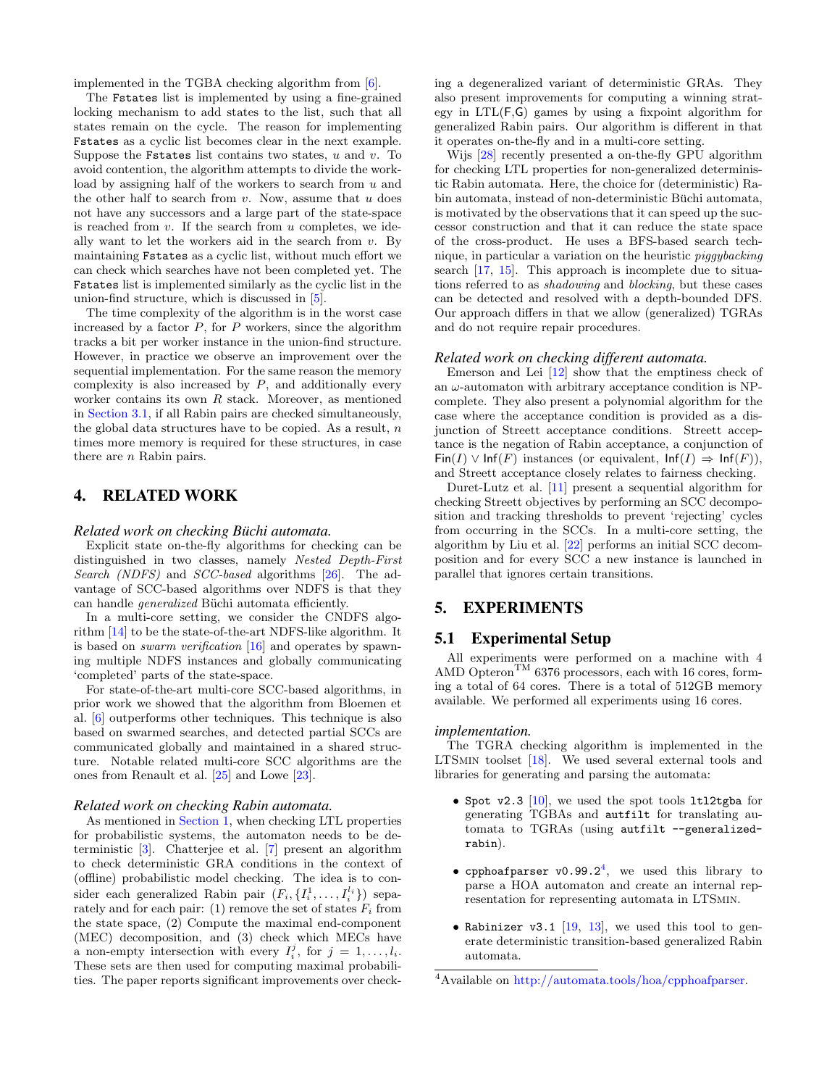implemented in the TGBA checking algorithm from [\[6\]](#page-9-5).

The Fstates list is implemented by using a fine-grained locking mechanism to add states to the list, such that all states remain on the cycle. The reason for implementing Fstates as a cyclic list becomes clear in the next example. Suppose the Fstates list contains two states,  $u$  and  $v$ . To avoid contention, the algorithm attempts to divide the workload by assigning half of the workers to search from  $u$  and the other half to search from  $v$ . Now, assume that  $u$  does not have any successors and a large part of the state-space is reached from  $v$ . If the search from  $u$  completes, we ideally want to let the workers aid in the search from  $v$ . By maintaining Fstates as a cyclic list, without much effort we can check which searches have not been completed yet. The Fstates list is implemented similarly as the cyclic list in the union-find structure, which is discussed in [\[5\]](#page-9-15).

The time complexity of the algorithm is in the worst case increased by a factor  $P$ , for  $P$  workers, since the algorithm tracks a bit per worker instance in the union-find structure. However, in practice we observe an improvement over the sequential implementation. For the same reason the memory complexity is also increased by  $P$ , and additionally every worker contains its own  $R$  stack. Moreover, as mentioned in [Section 3.1,](#page-2-5) if all Rabin pairs are checked simultaneously, the global data structures have to be copied. As a result,  $n$ times more memory is required for these structures, in case there are n Rabin pairs.

# <span id="page-5-0"></span>4. RELATED WORK

#### *Related work on checking Büchi automata.*

Explicit state on-the-fly algorithms for checking can be distinguished in two classes, namely Nested Depth-First Search (NDFS) and SCC-based algorithms [\[26\]](#page-9-1). The advantage of SCC-based algorithms over NDFS is that they can handle *generalized* Büchi automata efficiently.

In a multi-core setting, we consider the CNDFS algorithm [\[14\]](#page-9-3) to be the state-of-the-art NDFS-like algorithm. It is based on swarm verification [\[16\]](#page-9-17) and operates by spawning multiple NDFS instances and globally communicating 'completed' parts of the state-space.

For state-of-the-art multi-core SCC-based algorithms, in prior work we showed that the algorithm from Bloemen et al. [\[6\]](#page-9-5) outperforms other techniques. This technique is also based on swarmed searches, and detected partial SCCs are communicated globally and maintained in a shared structure. Notable related multi-core SCC algorithms are the ones from Renault et al. [\[25\]](#page-9-4) and Lowe [\[23\]](#page-9-18).

## *Related work on checking Rabin automata.*

As mentioned in [Section 1,](#page-0-0) when checking LTL properties for probabilistic systems, the automaton needs to be deterministic [\[3\]](#page-9-7). Chatterjee et al. [\[7\]](#page-9-8) present an algorithm to check deterministic GRA conditions in the context of (offline) probabilistic model checking. The idea is to consider each generalized Rabin pair  $(F_i, \{I_i^1, \ldots, I_i^{l_i}\})$  separately and for each pair: (1) remove the set of states  $F_i$  from the state space, (2) Compute the maximal end-component (MEC) decomposition, and (3) check which MECs have a non-empty intersection with every  $I_i^j$ , for  $j = 1, \ldots, l_i$ . These sets are then used for computing maximal probabilities. The paper reports significant improvements over checking a degeneralized variant of deterministic GRAs. They also present improvements for computing a winning strategy in LTL(F,G) games by using a fixpoint algorithm for generalized Rabin pairs. Our algorithm is different in that it operates on-the-fly and in a multi-core setting.

Wijs [\[28\]](#page-9-11) recently presented a on-the-fly GPU algorithm for checking LTL properties for non-generalized deterministic Rabin automata. Here, the choice for (deterministic) Rabin automata, instead of non-deterministic Büchi automata, is motivated by the observations that it can speed up the successor construction and that it can reduce the state space of the cross-product. He uses a BFS-based search technique, in particular a variation on the heuristic piggybacking search [\[17,](#page-9-2) [15\]](#page-9-19). This approach is incomplete due to situations referred to as shadowing and blocking, but these cases can be detected and resolved with a depth-bounded DFS. Our approach differs in that we allow (generalized) TGRAs and do not require repair procedures.

#### *Related work on checking different automata.*

Emerson and Lei [\[12\]](#page-9-14) show that the emptiness check of an  $\omega$ -automaton with arbitrary acceptance condition is NPcomplete. They also present a polynomial algorithm for the case where the acceptance condition is provided as a disjunction of Streett acceptance conditions. Streett acceptance is the negation of Rabin acceptance, a conjunction of Fin(I)  $\vee$  Inf(F) instances (or equivalent, Inf(I)  $\Rightarrow$  Inf(F)), and Streett acceptance closely relates to fairness checking.

Duret-Lutz et al. [\[11\]](#page-9-20) present a sequential algorithm for checking Streett objectives by performing an SCC decomposition and tracking thresholds to prevent 'rejecting' cycles from occurring in the SCCs. In a multi-core setting, the algorithm by Liu et al. [\[22\]](#page-9-21) performs an initial SCC decomposition and for every SCC a new instance is launched in parallel that ignores certain transitions.

# <span id="page-5-1"></span>5. EXPERIMENTS

## 5.1 Experimental Setup

All experiments were performed on a machine with 4 AMD Opteron<sup>TM</sup> 6376 processors, each with 16 cores, forming a total of 64 cores. There is a total of 512GB memory available. We performed all experiments using 16 cores.

#### *implementation.*

The TGRA checking algorithm is implemented in the LTSmin toolset [\[18\]](#page-9-12). We used several external tools and libraries for generating and parsing the automata:

- Spot v2.3 [\[10\]](#page-9-13), we used the spot tools ltl2tgba for generating TGBAs and autfilt for translating automata to TGRAs (using autfilt --generalizedrabin).
- cpphoafparser  $v0.99.2^4$  $v0.99.2^4$ , we used this library to parse a HOA automaton and create an internal representation for representing automata in LTSmin.
- Rabinizer v3.1 [\[19,](#page-9-9) [13\]](#page-9-10), we used this tool to generate deterministic transition-based generalized Rabin automata.

<span id="page-5-2"></span><sup>4</sup>Available on [http://automata.tools/hoa/cpphoafparser.](http://automata.tools/hoa/cpphoafparser)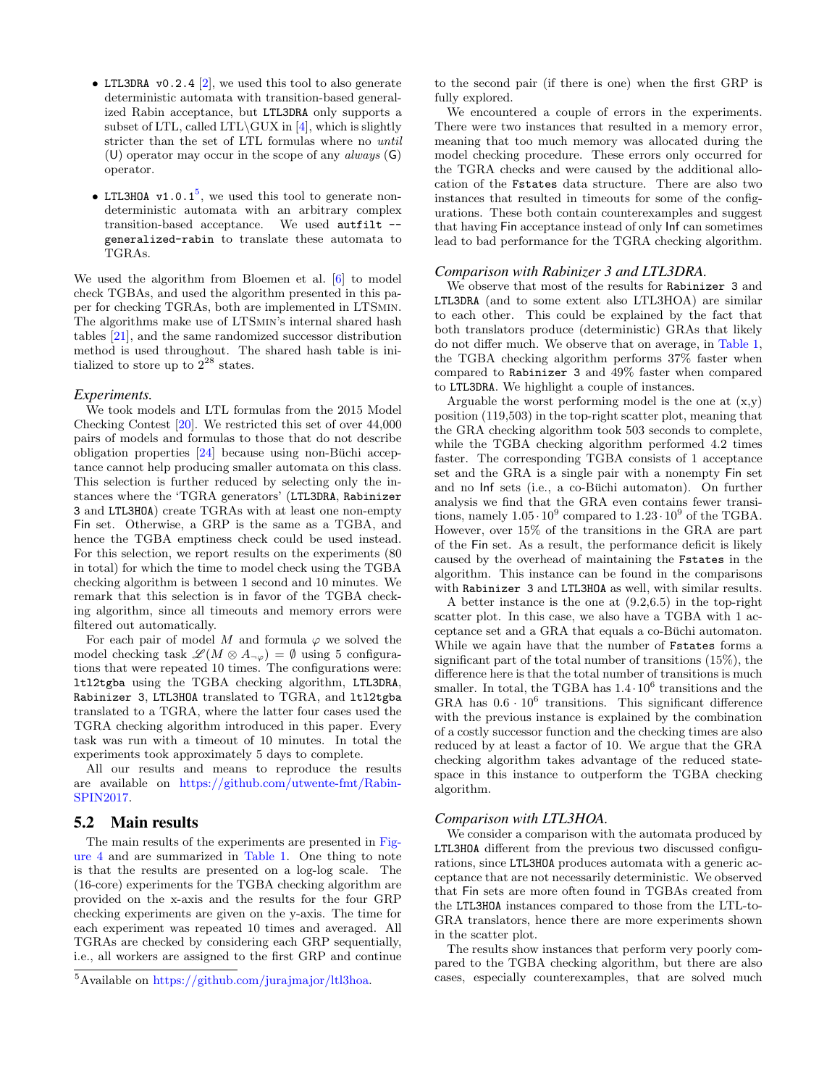- LTL3DRA v0.2.4  $[2]$ , we used this tool to also generate deterministic automata with transition-based generalized Rabin acceptance, but LTL3DRA only supports a subset of LTL, called LTL $\GUX$  in [\[4\]](#page-9-22), which is slightly stricter than the set of LTL formulas where no until (U) operator may occur in the scope of any *always*  $(G)$ operator.
- LTL3HOA  $v1.0.1<sup>5</sup>$  $v1.0.1<sup>5</sup>$  $v1.0.1<sup>5</sup>$ , we used this tool to generate nondeterministic automata with an arbitrary complex transition-based acceptance. We used autfilt - generalized-rabin to translate these automata to TGRAs.

We used the algorithm from Bloemen et al. [\[6\]](#page-9-5) to model check TGBAs, and used the algorithm presented in this paper for checking TGRAs, both are implemented in LTSmin. The algorithms make use of LTSmin's internal shared hash tables [\[21\]](#page-9-23), and the same randomized successor distribution method is used throughout. The shared hash table is initialized to store up to  $2^{28}$  states.

#### *Experiments.*

We took models and LTL formulas from the 2015 Model Checking Contest [\[20\]](#page-9-24). We restricted this set of over 44,000 pairs of models and formulas to those that do not describe obligation properties  $[24]$  because using non-Büchi acceptance cannot help producing smaller automata on this class. This selection is further reduced by selecting only the instances where the 'TGRA generators' (LTL3DRA, Rabinizer 3 and LTL3HOA) create TGRAs with at least one non-empty Fin set. Otherwise, a GRP is the same as a TGBA, and hence the TGBA emptiness check could be used instead. For this selection, we report results on the experiments (80 in total) for which the time to model check using the TGBA checking algorithm is between 1 second and 10 minutes. We remark that this selection is in favor of the TGBA checking algorithm, since all timeouts and memory errors were filtered out automatically.

For each pair of model M and formula  $\varphi$  we solved the model checking task  $\mathscr{L}(M \otimes A_{\neg \varphi}) = \emptyset$  using 5 configurations that were repeated 10 times. The configurations were: ltl2tgba using the TGBA checking algorithm, LTL3DRA, Rabinizer 3, LTL3HOA translated to TGRA, and ltl2tgba translated to a TGRA, where the latter four cases used the TGRA checking algorithm introduced in this paper. Every task was run with a timeout of 10 minutes. In total the experiments took approximately 5 days to complete.

All our results and means to reproduce the results are available on [https://github.com/utwente-fmt/Rabin-](https://github.com/utwente-fmt/Rabin-SPIN2017)[SPIN2017.](https://github.com/utwente-fmt/Rabin-SPIN2017)

# 5.2 Main results

The main results of the experiments are presented in [Fig](#page-7-0)[ure 4](#page-7-0) and are summarized in [Table 1.](#page-7-1) One thing to note is that the results are presented on a log-log scale. The (16-core) experiments for the TGBA checking algorithm are provided on the x-axis and the results for the four GRP checking experiments are given on the y-axis. The time for each experiment was repeated 10 times and averaged. All TGRAs are checked by considering each GRP sequentially, i.e., all workers are assigned to the first GRP and continue to the second pair (if there is one) when the first GRP is fully explored.

We encountered a couple of errors in the experiments. There were two instances that resulted in a memory error, meaning that too much memory was allocated during the model checking procedure. These errors only occurred for the TGRA checks and were caused by the additional allocation of the Fstates data structure. There are also two instances that resulted in timeouts for some of the configurations. These both contain counterexamples and suggest that having Fin acceptance instead of only Inf can sometimes lead to bad performance for the TGRA checking algorithm.

#### *Comparison with Rabinizer 3 and LTL3DRA.*

We observe that most of the results for Rabinizer 3 and LTL3DRA (and to some extent also LTL3HOA) are similar to each other. This could be explained by the fact that both translators produce (deterministic) GRAs that likely do not differ much. We observe that on average, in [Table 1,](#page-7-1) the TGBA checking algorithm performs 37% faster when compared to Rabinizer 3 and 49% faster when compared to LTL3DRA. We highlight a couple of instances.

Arguable the worst performing model is the one at  $(x,y)$ position (119,503) in the top-right scatter plot, meaning that the GRA checking algorithm took 503 seconds to complete, while the TGBA checking algorithm performed 4.2 times faster. The corresponding TGBA consists of 1 acceptance set and the GRA is a single pair with a nonempty Fin set and no Inf sets (i.e., a co-Büchi automaton). On further analysis we find that the GRA even contains fewer transitions, namely  $1.05 \cdot 10^9$  compared to  $1.23 \cdot 10^9$  of the TGBA. However, over 15% of the transitions in the GRA are part of the Fin set. As a result, the performance deficit is likely caused by the overhead of maintaining the Fstates in the algorithm. This instance can be found in the comparisons with Rabinizer 3 and LTL3HOA as well, with similar results.

A better instance is the one at (9.2,6.5) in the top-right scatter plot. In this case, we also have a TGBA with 1 acceptance set and a GRA that equals a co-Buchi automaton. While we again have that the number of Fstates forms a significant part of the total number of transitions (15%), the difference here is that the total number of transitions is much smaller. In total, the TGBA has  $1.4 \cdot 10^6$  transitions and the GRA has  $0.6 \cdot 10^6$  transitions. This significant difference with the previous instance is explained by the combination of a costly successor function and the checking times are also reduced by at least a factor of 10. We argue that the GRA checking algorithm takes advantage of the reduced statespace in this instance to outperform the TGBA checking algorithm.

## *Comparison with LTL3HOA.*

We consider a comparison with the automata produced by LTL3HOA different from the previous two discussed configurations, since LTL3HOA produces automata with a generic acceptance that are not necessarily deterministic. We observed that Fin sets are more often found in TGBAs created from the LTL3HOA instances compared to those from the LTL-to-GRA translators, hence there are more experiments shown in the scatter plot.

The results show instances that perform very poorly compared to the TGBA checking algorithm, but there are also cases, especially counterexamples, that are solved much

<span id="page-6-0"></span><sup>5</sup>Available on [https://github.com/jurajmajor/ltl3hoa.](https://github.com/jurajmajor/ltl3hoa)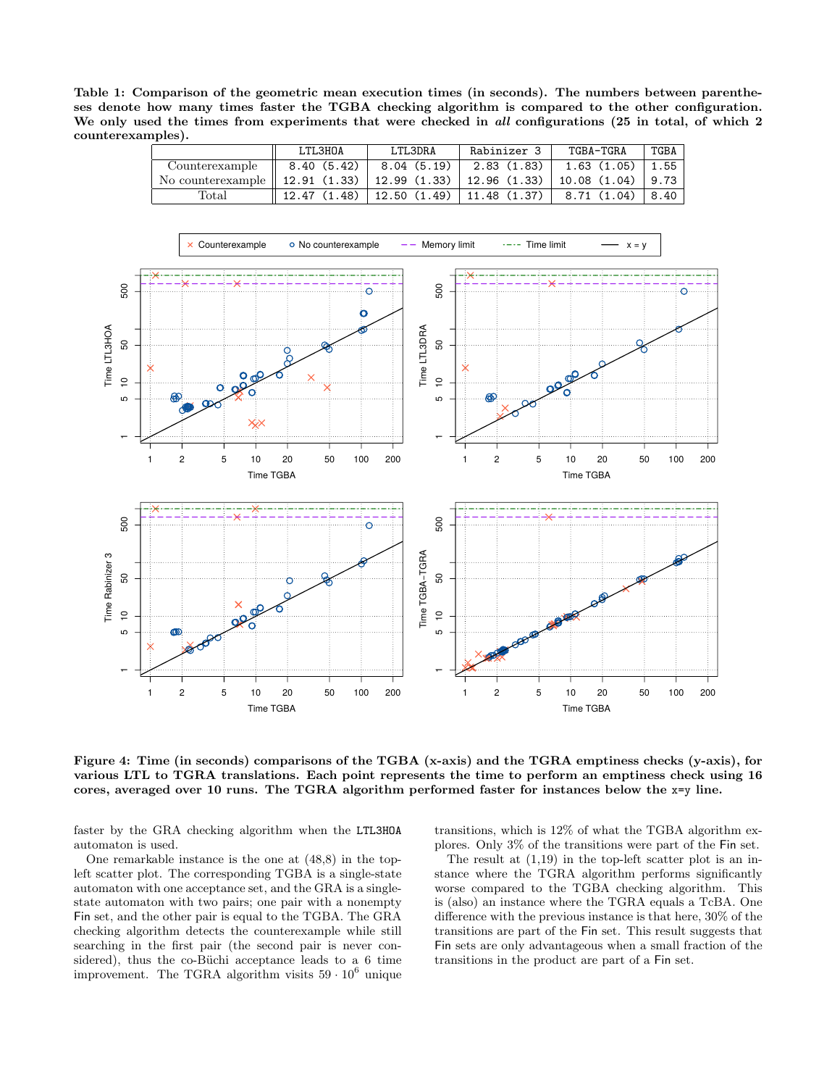<span id="page-7-1"></span>Table 1: Comparison of the geometric mean execution times (in seconds). The numbers between parentheses denote how many times faster the TGBA checking algorithm is compared to the other configuration. We only used the times from experiments that were checked in all configurations (25 in total, of which 2 counterexamples).

|                                                                                       | LTL3H0A                                                                  | LTL3DRA | Rabinizer 3 | TGBA-TGRA                                                         | TGBA |
|---------------------------------------------------------------------------------------|--------------------------------------------------------------------------|---------|-------------|-------------------------------------------------------------------|------|
| Counterexample                                                                        | $\parallel$ 8.40 (5.42)   8.04 (5.19)   2.83 (1.83)   1.63 (1.05)   1.55 |         |             |                                                                   |      |
| No counterexample    12.91 (1.33)   12.99 (1.33)   12.96 (1.33)   10.08 (1.04)   9.73 |                                                                          |         |             |                                                                   |      |
| $_{\rm Total}$                                                                        |                                                                          |         |             | $12.47$ (1.48)   12.50 (1.49)   11.48 (1.37)   8.71 (1.04)   8.40 |      |



<span id="page-7-0"></span>Figure 4: Time (in seconds) comparisons of the TGBA (x-axis) and the TGRA emptiness checks (y-axis), for various LTL to TGRA translations. Each point represents the time to perform an emptiness check using 16 cores, averaged over 10 runs. The TGRA algorithm performed faster for instances below the x=y line.

faster by the GRA checking algorithm when the LTL3HOA automaton is used.

One remarkable instance is the one at (48,8) in the topleft scatter plot. The corresponding TGBA is a single-state automaton with one acceptance set, and the GRA is a singlestate automaton with two pairs; one pair with a nonempty Fin set, and the other pair is equal to the TGBA. The GRA checking algorithm detects the counterexample while still searching in the first pair (the second pair is never considered), thus the co-Büchi acceptance leads to a  $6$  time improvement. The TGRA algorithm visits  $59 \cdot 10^6$  unique

transitions, which is 12% of what the TGBA algorithm explores. Only 3% of the transitions were part of the Fin set.

The result at  $(1,19)$  in the top-left scatter plot is an instance where the TGRA algorithm performs significantly worse compared to the TGBA checking algorithm. This is (also) an instance where the TGRA equals a TcBA. One difference with the previous instance is that here, 30% of the transitions are part of the Fin set. This result suggests that Fin sets are only advantageous when a small fraction of the transitions in the product are part of a Fin set.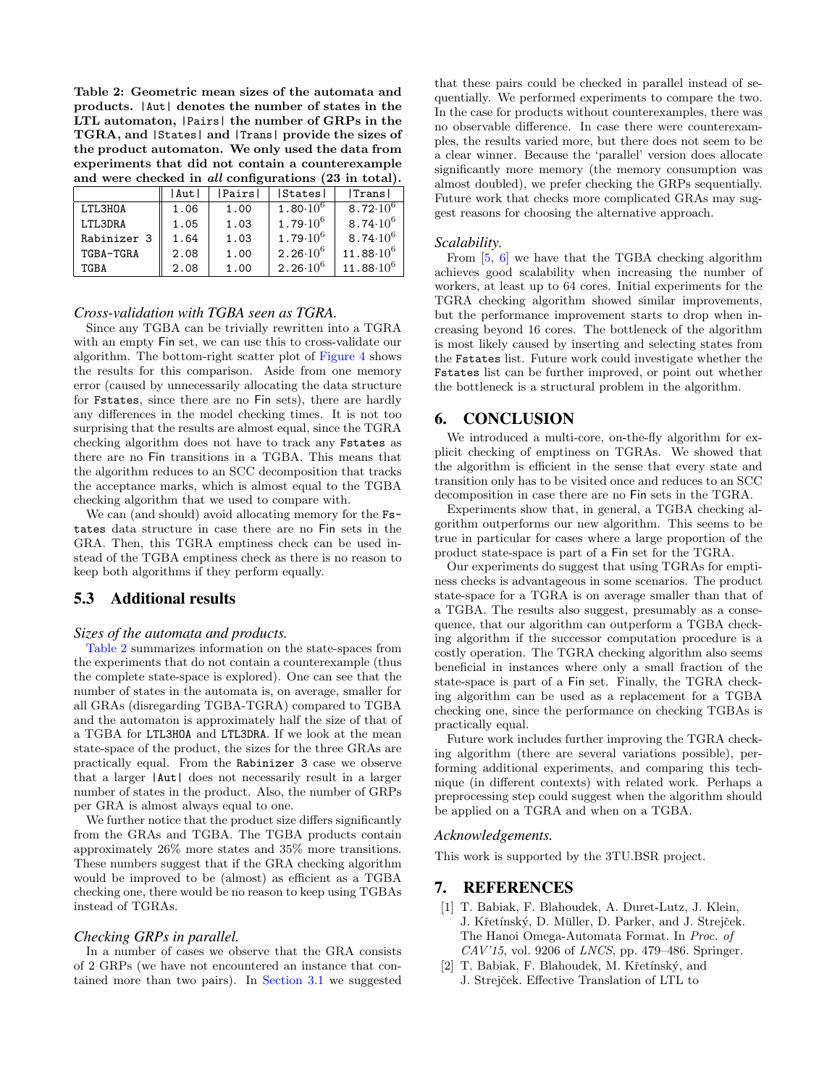<span id="page-8-3"></span>Table 2: Geometric mean sizes of the automata and products. |Aut| denotes the number of states in the LTL automaton, |Pairs| the number of GRPs in the TGRA, and |States| and |Trans| provide the sizes of the product automaton. We only used the data from experiments that did not contain a counterexample and were checked in all configurations (23 in total).

|             | Aut  | Pairs | States                       | Trans                        |
|-------------|------|-------|------------------------------|------------------------------|
| LTL3H0A     | 1.06 | 1.00  | $1.80 \cdot 10^{6}$          | 8.72 $\cdot$ 10 $^{6}$       |
| LTL3DRA     | 1.05 | 1.03  | 1.79 $\cdot$ 10 <sup>6</sup> | 8.74 $\cdot$ 10 $^6$         |
| Rabinizer 3 | 1.64 | 1.03  | 1.79 $\cdot$ 10 <sup>6</sup> | 8.74 $\cdot$ 10 <sup>6</sup> |
| TGBA-TGRA   | 2.08 | 1.00  | $2.26 \cdot 10^6$            | $11.88 \cdot 10^6$           |
| TGBA        | 2.08 | 1.00  | $2.26 \cdot 10^6$            | $11.88 \cdot 10^6$           |

# *Cross-validation with TGBA seen as TGRA.*

Since any TGBA can be trivially rewritten into a TGRA with an empty Fin set, we can use this to cross-validate our algorithm. The bottom-right scatter plot of [Figure 4](#page-7-0) shows the results for this comparison. Aside from one memory error (caused by unnecessarily allocating the data structure for Fstates, since there are no Fin sets), there are hardly any differences in the model checking times. It is not too surprising that the results are almost equal, since the TGRA checking algorithm does not have to track any Fstates as there are no Fin transitions in a TGBA. This means that the algorithm reduces to an SCC decomposition that tracks the acceptance marks, which is almost equal to the TGBA checking algorithm that we used to compare with.

We can (and should) avoid allocating memory for the  $Fs$ tates data structure in case there are no Fin sets in the GRA. Then, this TGRA emptiness check can be used instead of the TGBA emptiness check as there is no reason to keep both algorithms if they perform equally.

# 5.3 Additional results

## *Sizes of the automata and products.*

[Table 2](#page-8-3) summarizes information on the state-spaces from the experiments that do not contain a counterexample (thus the complete state-space is explored). One can see that the number of states in the automata is, on average, smaller for all GRAs (disregarding TGBA-TGRA) compared to TGBA and the automaton is approximately half the size of that of a TGBA for LTL3HOA and LTL3DRA. If we look at the mean state-space of the product, the sizes for the three GRAs are practically equal. From the Rabinizer 3 case we observe that a larger |Aut| does not necessarily result in a larger number of states in the product. Also, the number of GRPs per GRA is almost always equal to one.

We further notice that the product size differs significantly from the GRAs and TGBA. The TGBA products contain approximately 26% more states and 35% more transitions. These numbers suggest that if the GRA checking algorithm would be improved to be (almost) as efficient as a TGBA checking one, there would be no reason to keep using TGBAs instead of TGRAs.

## *Checking GRPs in parallel.*

In a number of cases we observe that the GRA consists of 2 GRPs (we have not encountered an instance that contained more than two pairs). In [Section 3.1](#page-2-5) we suggested that these pairs could be checked in parallel instead of sequentially. We performed experiments to compare the two. In the case for products without counterexamples, there was no observable difference. In case there were counterexamples, the results varied more, but there does not seem to be a clear winner. Because the 'parallel' version does allocate significantly more memory (the memory consumption was almost doubled), we prefer checking the GRPs sequentially. Future work that checks more complicated GRAs may suggest reasons for choosing the alternative approach.

#### *Scalability.*

From [\[5,](#page-9-15) [6\]](#page-9-5) we have that the TGBA checking algorithm achieves good scalability when increasing the number of workers, at least up to 64 cores. Initial experiments for the TGRA checking algorithm showed similar improvements, but the performance improvement starts to drop when increasing beyond 16 cores. The bottleneck of the algorithm is most likely caused by inserting and selecting states from the Fstates list. Future work could investigate whether the Fstates list can be further improved, or point out whether the bottleneck is a structural problem in the algorithm.

# <span id="page-8-2"></span>6. CONCLUSION

We introduced a multi-core, on-the-fly algorithm for explicit checking of emptiness on TGRAs. We showed that the algorithm is efficient in the sense that every state and transition only has to be visited once and reduces to an SCC decomposition in case there are no Fin sets in the TGRA.

Experiments show that, in general, a TGBA checking algorithm outperforms our new algorithm. This seems to be true in particular for cases where a large proportion of the product state-space is part of a Fin set for the TGRA.

Our experiments do suggest that using TGRAs for emptiness checks is advantageous in some scenarios. The product state-space for a TGRA is on average smaller than that of a TGBA. The results also suggest, presumably as a consequence, that our algorithm can outperform a TGBA checking algorithm if the successor computation procedure is a costly operation. The TGRA checking algorithm also seems beneficial in instances where only a small fraction of the state-space is part of a Fin set. Finally, the TGRA checking algorithm can be used as a replacement for a TGBA checking one, since the performance on checking TGBAs is practically equal.

Future work includes further improving the TGRA checking algorithm (there are several variations possible), performing additional experiments, and comparing this technique (in different contexts) with related work. Perhaps a preprocessing step could suggest when the algorithm should be applied on a TGRA and when on a TGBA.

# *Acknowledgements.*

This work is supported by the 3TU.BSR project.

# 7. REFERENCES

- <span id="page-8-1"></span>[1] T. Babiak, F. Blahoudek, A. Duret-Lutz, J. Klein, J. Křetínský, D. Müller, D. Parker, and J. Strejček. The Hanoi Omega-Automata Format. In Proc. of  $CAV'15$ , vol. 9206 of  $LNCS$ , pp. 479-486. Springer.
- <span id="page-8-0"></span>[2] T. Babiak, F. Blahoudek, M. Křetínský, and J. Strejček. Effective Translation of LTL to